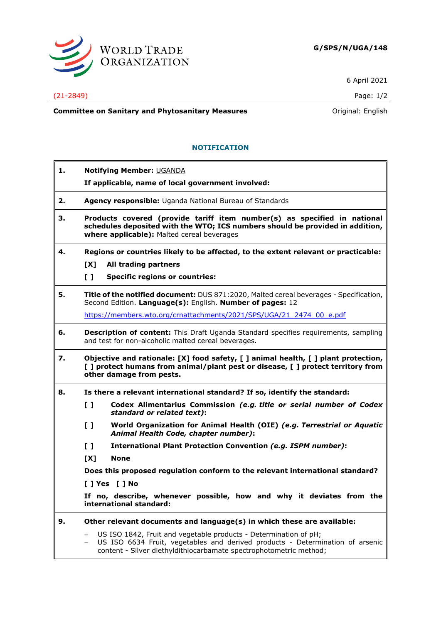

6 April 2021

## (21-2849) Page: 1/2

**Committee on Sanitary and Phytosanitary Measures Committee on Sanitary and Phytosanitary Measures Committee on Sanitary and Phytosanitary Measures** 

## **NOTIFICATION**

| 1. | <b>Notifying Member: UGANDA</b>                                                                                                                                                                                                                     |
|----|-----------------------------------------------------------------------------------------------------------------------------------------------------------------------------------------------------------------------------------------------------|
|    | If applicable, name of local government involved:                                                                                                                                                                                                   |
| 2. | Agency responsible: Uganda National Bureau of Standards                                                                                                                                                                                             |
| з. | Products covered (provide tariff item number(s) as specified in national<br>schedules deposited with the WTO; ICS numbers should be provided in addition,<br>where applicable): Malted cereal beverages                                             |
| 4. | Regions or countries likely to be affected, to the extent relevant or practicable:                                                                                                                                                                  |
|    | [X]<br>All trading partners                                                                                                                                                                                                                         |
|    | $\mathbf{L}$<br><b>Specific regions or countries:</b>                                                                                                                                                                                               |
| 5. | Title of the notified document: DUS 871:2020, Malted cereal beverages - Specification,<br>Second Edition. Language(s): English. Number of pages: 12                                                                                                 |
|    | https://members.wto.org/crnattachments/2021/SPS/UGA/21 2474 00 e.pdf                                                                                                                                                                                |
| 6. | <b>Description of content:</b> This Draft Uganda Standard specifies requirements, sampling<br>and test for non-alcoholic malted cereal beverages.                                                                                                   |
| 7. | Objective and rationale: [X] food safety, [ ] animal health, [ ] plant protection,<br>[] protect humans from animal/plant pest or disease, [] protect territory from<br>other damage from pests.                                                    |
| 8. | Is there a relevant international standard? If so, identify the standard:                                                                                                                                                                           |
|    | $\mathbf{L}$<br>Codex Alimentarius Commission (e.g. title or serial number of Codex<br>standard or related text):                                                                                                                                   |
|    | $\mathbf{L}$<br>World Organization for Animal Health (OIE) (e.g. Terrestrial or Aquatic<br>Animal Health Code, chapter number):                                                                                                                     |
|    | $\mathbf{L}$<br><b>International Plant Protection Convention (e.g. ISPM number):</b>                                                                                                                                                                |
|    | [X]<br><b>None</b>                                                                                                                                                                                                                                  |
|    | Does this proposed regulation conform to the relevant international standard?                                                                                                                                                                       |
|    | [ ] Yes [ ] No                                                                                                                                                                                                                                      |
|    | If no, describe, whenever possible, how and why it deviates from the<br>international standard:                                                                                                                                                     |
| 9. | Other relevant documents and language(s) in which these are available:                                                                                                                                                                              |
|    | US ISO 1842, Fruit and vegetable products - Determination of pH;<br>$\overline{\phantom{m}}$<br>US ISO 6634 Fruit, vegetables and derived products - Determination of arsenic<br>content - Silver diethyldithiocarbamate spectrophotometric method; |